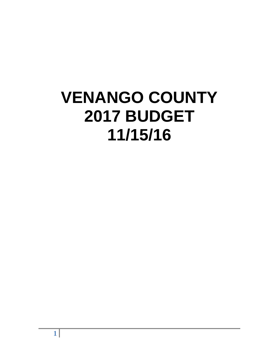# **VENANGO COUNTY 2017 BUDGET 11/15/16**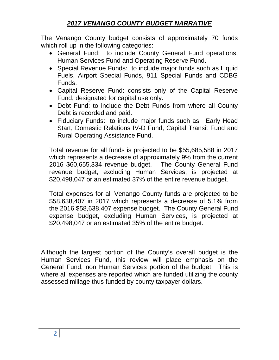# *2017 VENANGO COUNTY BUDGET NARRATIVE*

The Venango County budget consists of approximately 70 funds which roll up in the following categories:

- General Fund: to include County General Fund operations, Human Services Fund and Operating Reserve Fund.
- Special Revenue Funds: to include major funds such as Liquid Fuels, Airport Special Funds, 911 Special Funds and CDBG Funds.
- Capital Reserve Fund: consists only of the Capital Reserve Fund, designated for capital use only.
- Debt Fund: to include the Debt Funds from where all County Debt is recorded and paid.
- Fiduciary Funds: to include major funds such as: Early Head Start, Domestic Relations IV-D Fund, Capital Transit Fund and Rural Operating Assistance Fund.

Total revenue for all funds is projected to be \$55,685,588 in 2017 which represents a decrease of approximately 9% from the current 2016 \$60,655,334 revenue budget. The County General Fund revenue budget, excluding Human Services, is projected at \$20,498,047 or an estimated 37% of the entire revenue budget.

Total expenses for all Venango County funds are projected to be \$58,638,407 in 2017 which represents a decrease of 5.1% from the 2016 \$58,638,407 expense budget. The County General Fund expense budget, excluding Human Services, is projected at \$20,498,047 or an estimated 35% of the entire budget.

Although the largest portion of the County's overall budget is the Human Services Fund, this review will place emphasis on the General Fund, non Human Services portion of the budget. This is where all expenses are reported which are funded utilizing the county assessed millage thus funded by county taxpayer dollars.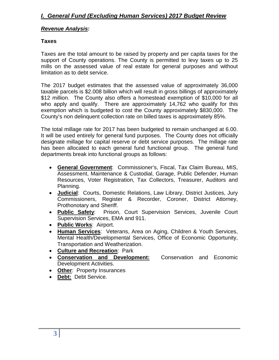#### *Revenue Analysis:*

#### **Taxes**

Taxes are the total amount to be raised by property and per capita taxes for the support of County operations. The County is permitted to levy taxes up to 25 mills on the assessed value of real estate for general purposes and without limitation as to debt service.

The 2017 budget estimates that the assessed value of approximately 36,000 taxable parcels is \$2.008 billion which will result in gross billings of approximately \$12 million. The County also offers a homestead exemption of \$10,000 for all who apply and qualify. There are approximately 14,762 who qualify for this exemption which is budgeted to cost the County approximately \$830,000. The County's non delinquent collection rate on billed taxes is approximately 85%.

The total millage rate for 2017 has been budgeted to remain unchanged at 6.00. It will be used entirely for general fund purposes. The County does not officially designate millage for capital reserve or debt service purposes. The millage rate has been allocated to each general fund functional group. The general fund departments break into functional groups as follows:

- **General Government**: Commissioner's, Fiscal, Tax Claim Bureau, MIS, Assessment, Maintenance & Custodial, Garage, Public Defender, Human Resources, Voter Registration, Tax Collectors, Treasurer, Auditors and Planning.
- **Judicial**: Courts, Domestic Relations, Law Library, District Justices, Jury Commissioners, Register & Recorder, Coroner, District Attorney, Prothonotary and Sheriff.
- **Public Safety**: Prison, Court Supervision Services, Juvenile Court Supervision Services, EMA and 911.
- **Public Works**: Airport.
- **Human Services**: Veterans, Area on Aging, Children & Youth Services, Mental Health/Developmental Services, Office of Economic Opportunity, Transportation and Weatherization.
- **Culture and Recreation**: Park
- **Conservation and Development:** Conservation and Economic Development Activities.
- **Other**: Property Insurances
- **Debt:** Debt Service.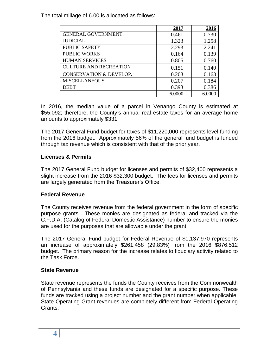The total millage of 6.00 is allocated as follows:

|                                    | 2017   | 2016   |
|------------------------------------|--------|--------|
| <b>GENERAL GOVERNMENT</b>          | 0.461  | 0.730  |
| <b>JUDICIAL</b>                    | 1.323  | 1.258  |
| <b>PUBLIC SAFETY</b>               | 2.293  | 2.241  |
| <b>PUBLIC WORKS</b>                | 0.164  | 0.139  |
| <b>HUMAN SERVICES</b>              | 0.805  | 0.760  |
| <b>CULTURE AND RECREATION</b>      | 0.151  | 0.140  |
| <b>CONSERVATION &amp; DEVELOP.</b> | 0.203  | 0.163  |
| <b>MISCELLANEOUS</b>               | 0.207  | 0.184  |
| <b>DEBT</b>                        | 0.393  | 0.386  |
|                                    | 6.0000 | 6.0000 |

In 2016, the median value of a parcel in Venango County is estimated at \$55,092; therefore, the County's annual real estate taxes for an average home amounts to approximately \$331.

The 2017 General Fund budget for taxes of \$11,220,000 represents level funding from the 2016 budget. Approximately 56% of the general fund budget is funded through tax revenue which is consistent with that of the prior year.

# **Licenses & Permits**

The 2017 General Fund budget for licenses and permits of \$32,400 represents a slight increase from the 2016 \$32,300 budget. The fees for licenses and permits are largely generated from the Treasurer's Office.

#### **Federal Revenue**

The County receives revenue from the federal government in the form of specific purpose grants. These monies are designated as federal and tracked via the C.F.D.A. (Catalog of Federal Domestic Assistance) number to ensure the monies are used for the purposes that are allowable under the grant.

The 2017 General Fund budget for Federal Revenue of \$1,137,970 represents an increase of approximately \$261,458 (29.83%) from the 2016 \$876,512 budget. The primary reason for the increase relates to fiduciary activity related to the Task Force.

#### **State Revenue**

State revenue represents the funds the County receives from the Commonwealth of Pennsylvania and these funds are designated for a specific purpose. These funds are tracked using a project number and the grant number when applicable. State Operating Grant revenues are completely different from Federal Operating Grants.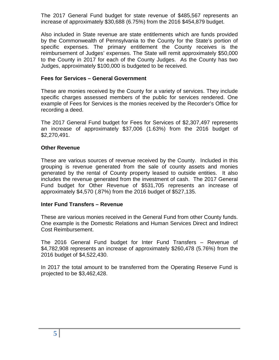The 2017 General Fund budget for state revenue of \$485,567 represents an increase of approximately \$30,688 (6.75%) from the 2016 \$454,879 budget.

Also included in State revenue are state entitlements which are funds provided by the Commonwealth of Pennsylvania to the County for the State's portion of specific expenses. The primary entitlement the County receives is the reimbursement of Judges' expenses. The State will remit approximately \$50,000 to the County in 2017 for each of the County Judges. As the County has two Judges, approximately \$100,000 is budgeted to be received.

#### **Fees for Services – General Government**

These are monies received by the County for a variety of services. They include specific charges assessed members of the public for services rendered. One example of Fees for Services is the monies received by the Recorder's Office for recording a deed.

The 2017 General Fund budget for Fees for Services of \$2,307,497 represents an increase of approximately \$37,006 (1.63%) from the 2016 budget of \$2,270,491.

#### **Other Revenue**

These are various sources of revenue received by the County. Included in this grouping is revenue generated from the sale of county assets and monies generated by the rental of County property leased to outside entities. It also includes the revenue generated from the investment of cash. The 2017 General Fund budget for Other Revenue of \$531,705 represents an increase of approximately \$4,570 (.87%) from the 2016 budget of \$527,135.

#### **Inter Fund Transfers – Revenue**

These are various monies received in the General Fund from other County funds. One example is the Domestic Relations and Human Services Direct and Indirect Cost Reimbursement.

The 2016 General Fund budget for Inter Fund Transfers – Revenue of \$4,782,908 represents an increase of approximately \$260,478 (5.76%) from the 2016 budget of \$4,522,430.

In 2017 the total amount to be transferred from the Operating Reserve Fund is projected to be \$3,462,428.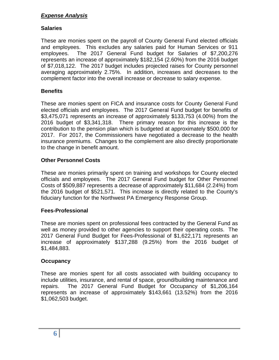# *Expense Analysis*

# **Salaries**

These are monies spent on the payroll of County General Fund elected officials and employees. This excludes any salaries paid for Human Services or 911 employees. The 2017 General Fund budget for Salaries of \$7,200,276 represents an increase of approximately \$182,154 (2.60%) from the 2016 budget of \$7,018,122. The 2017 budget includes projected raises for County personnel averaging approximately 2.75%. In addition, increases and decreases to the complement factor into the overall increase or decrease to salary expense.

# **Benefits**

These are monies spent on FICA and insurance costs for County General Fund elected officials and employees. The 2017 General Fund budget for benefits of \$3,475,071 represents an increase of approximately \$133,753 (4.00%) from the 2016 budget of \$3,341,318. There primary reason for this increase is the contribution to the pension plan which is budgeted at approximately \$500,000 for 2017. For 2017, the Commissioners have negotiated a decrease to the health insurance premiums. Changes to the complement are also directly proportionate to the change in benefit amount.

# **Other Personnel Costs**

These are monies primarily spent on training and workshops for County elected officials and employees. The 2017 General Fund budget for Other Personnel Costs of \$509,887 represents a decrease of approximately \$11,684 (2.24%) from the 2016 budget of \$521,571. This increase is directly related to the County's fiduciary function for the Northwest PA Emergency Response Group.

#### **Fees-Professional**

These are monies spent on professional fees contracted by the General Fund as well as money provided to other agencies to support their operating costs. The 2017 General Fund Budget for Fees-Professional of \$1,622,171 represents an increase of approximately \$137,288 (9.25%) from the 2016 budget of \$1,484,883.

#### **Occupancy**

These are monies spent for all costs associated with building occupancy to include utilities, insurance, and rental of space, ground/building maintenance and repairs. The 2017 General Fund Budget for Occupancy of \$1,206,164 represents an increase of approximately \$143,661 (13.52%) from the 2016 \$1,062,503 budget.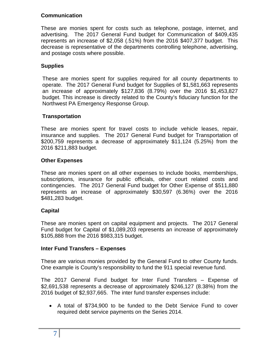# **Communication**

These are monies spent for costs such as telephone, postage, internet, and advertising. The 2017 General Fund budget for Communication of \$409,435 represents an increase of \$2,058 (.51%) from the 2016 \$407,377 budget. This decrease is representative of the departments controlling telephone, advertising, and postage costs where possible.

# **Supplies**

These are monies spent for supplies required for all county departments to operate. The 2017 General Fund budget for Supplies of \$1,581,663 represents an increase of approximately \$127,836 (8.79%) over the 2016 \$1,453,827 budget. This increase is directly related to the County's fiduciary function for the Northwest PA Emergency Response Group.

# **Transportation**

These are monies spent for travel costs to include vehicle leases, repair, insurance and supplies. The 2017 General Fund budget for Transportation of \$200,759 represents a decrease of approximately \$11,124 (5.25%) from the 2016 \$211,883 budget.

# **Other Expenses**

These are monies spent on all other expenses to include books, memberships, subscriptions, insurance for public officials, other court related costs and contingencies. The 2017 General Fund budget for Other Expense of \$511,880 represents an increase of approximately \$30,597 (6.36%) over the 2016 \$481,283 budget.

# **Capital**

These are monies spent on capital equipment and projects. The 2017 General Fund budget for Capital of \$1,089,203 represents an increase of approximately \$105,888 from the 2016 \$983,315 budget.

#### **Inter Fund Transfers – Expenses**

These are various monies provided by the General Fund to other County funds. One example is County's responsibility to fund the 911 special revenue fund.

The 2017 General Fund budget for Inter Fund Transfers – Expense of \$2,691,538 represents a decrease of approximately \$246,127 (8.38%) from the 2016 budget of \$2,937,665. The inter fund transfer expenses include:

• A total of \$734,900 to be funded to the Debt Service Fund to cover required debt service payments on the Series 2014.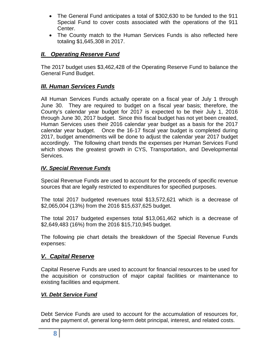- The General Fund anticipates a total of \$302,630 to be funded to the 911 Special Fund to cover costs associated with the operations of the 911 Center.
- The County match to the Human Services Funds is also reflected here totaling \$1,645,308 in 2017.

# *II. Operating Reserve Fund*

The 2017 budget uses \$3,462,428 of the Operating Reserve Fund to balance the General Fund Budget.

# *III. Human Services Funds*

All Human Services Funds actually operate on a fiscal year of July 1 through June 30. They are required to budget on a fiscal year basis; therefore, the County's calendar year budget for 2017 is expected to be their July 1, 2016 through June 30, 2017 budget. Since this fiscal budget has not yet been created, Human Services uses their 2016 calendar year budget as a basis for the 2017 calendar year budget. Once the 16-17 fiscal year budget is completed during 2017, budget amendments will be done to adjust the calendar year 2017 budget accordingly. The following chart trends the expenses per Human Services Fund which shows the greatest growth in CYS, Transportation, and Developmental Services.

#### *IV. Special Revenue Funds*

Special Revenue Funds are used to account for the proceeds of specific revenue sources that are legally restricted to expenditures for specified purposes.

The total 2017 budgeted revenues total \$13,572,621 which is a decrease of \$2,065,004 (13%) from the 2016 \$15,637,625 budget.

The total 2017 budgeted expenses total \$13,061,462 which is a decrease of \$2,649,483 (16%) from the 2016 \$15,710,945 budget.

The following pie chart details the breakdown of the Special Revenue Funds expenses:

#### *V. Capital Reserve*

Capital Reserve Funds are used to account for financial resources to be used for the acquisition or construction of major capital facilities or maintenance to existing facilities and equipment.

#### *VI. Debt Service Fund*

Debt Service Funds are used to account for the accumulation of resources for, and the payment of, general long-term debt principal, interest, and related costs.